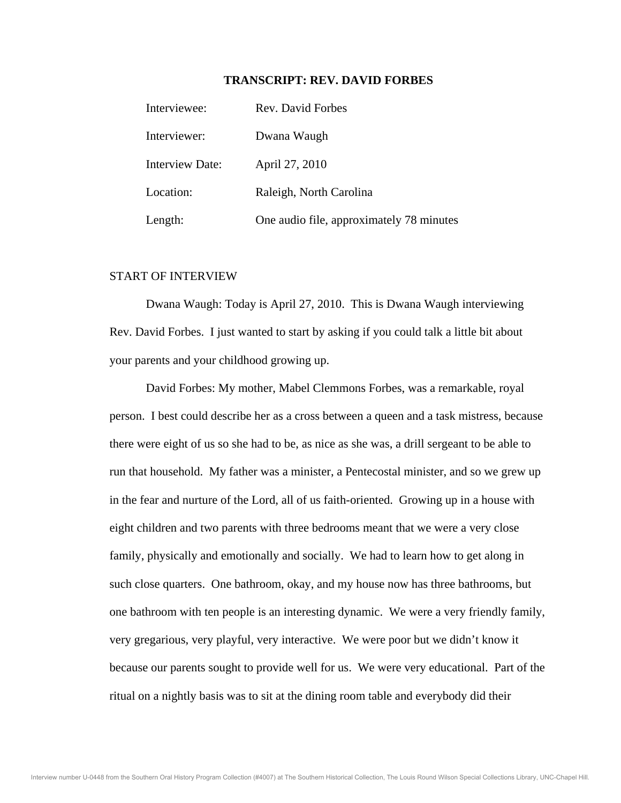## **TRANSCRIPT: REV. DAVID FORBES**

| Interviewee:           | Rev. David Forbes                        |
|------------------------|------------------------------------------|
| Interviewer:           | Dwana Waugh                              |
| <b>Interview Date:</b> | April 27, 2010                           |
| Location:              | Raleigh, North Carolina                  |
| Length:                | One audio file, approximately 78 minutes |

## START OF INTERVIEW

 Dwana Waugh: Today is April 27, 2010. This is Dwana Waugh interviewing Rev. David Forbes. I just wanted to start by asking if you could talk a little bit about your parents and your childhood growing up.

 David Forbes: My mother, Mabel Clemmons Forbes, was a remarkable, royal person. I best could describe her as a cross between a queen and a task mistress, because there were eight of us so she had to be, as nice as she was, a drill sergeant to be able to run that household. My father was a minister, a Pentecostal minister, and so we grew up in the fear and nurture of the Lord, all of us faith-oriented. Growing up in a house with eight children and two parents with three bedrooms meant that we were a very close family, physically and emotionally and socially. We had to learn how to get along in such close quarters. One bathroom, okay, and my house now has three bathrooms, but one bathroom with ten people is an interesting dynamic. We were a very friendly family, very gregarious, very playful, very interactive. We were poor but we didn't know it because our parents sought to provide well for us. We were very educational. Part of the ritual on a nightly basis was to sit at the dining room table and everybody did their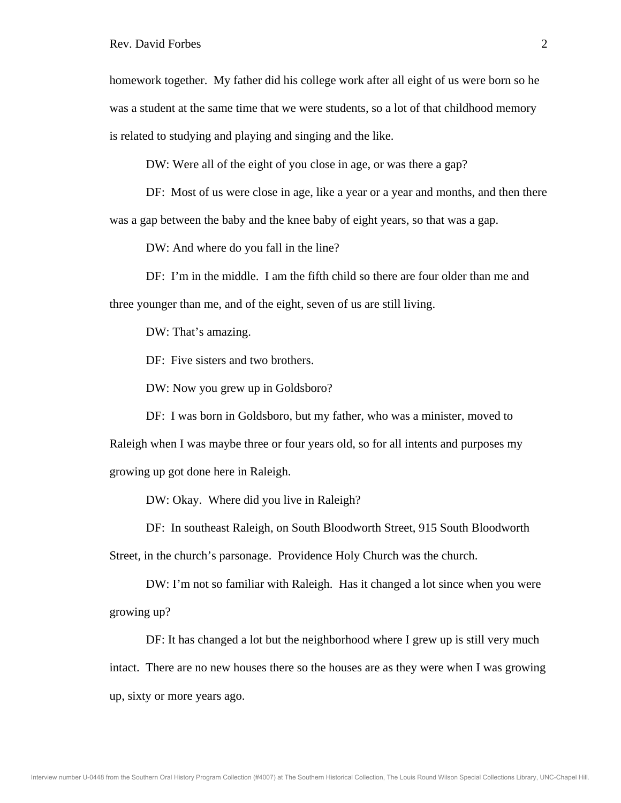homework together. My father did his college work after all eight of us were born so he was a student at the same time that we were students, so a lot of that childhood memory is related to studying and playing and singing and the like.

DW: Were all of the eight of you close in age, or was there a gap?

DF: Most of us were close in age, like a year or a year and months, and then there

was a gap between the baby and the knee baby of eight years, so that was a gap.

DW: And where do you fall in the line?

 DF: I'm in the middle. I am the fifth child so there are four older than me and three younger than me, and of the eight, seven of us are still living.

DW: That's amazing.

DF: Five sisters and two brothers.

DW: Now you grew up in Goldsboro?

 DF: I was born in Goldsboro, but my father, who was a minister, moved to Raleigh when I was maybe three or four years old, so for all intents and purposes my growing up got done here in Raleigh.

DW: Okay. Where did you live in Raleigh?

DF: In southeast Raleigh, on South Bloodworth Street, 915 South Bloodworth

Street, in the church's parsonage. Providence Holy Church was the church.

 DW: I'm not so familiar with Raleigh. Has it changed a lot since when you were growing up?

 DF: It has changed a lot but the neighborhood where I grew up is still very much intact. There are no new houses there so the houses are as they were when I was growing up, sixty or more years ago.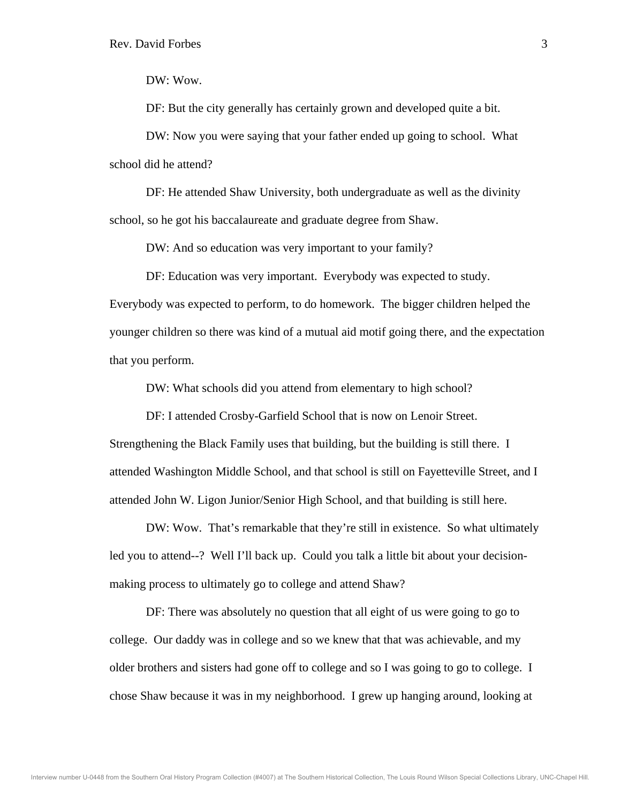DW: Wow.

DF: But the city generally has certainly grown and developed quite a bit.

 DW: Now you were saying that your father ended up going to school. What school did he attend?

 DF: He attended Shaw University, both undergraduate as well as the divinity school, so he got his baccalaureate and graduate degree from Shaw.

DW: And so education was very important to your family?

 DF: Education was very important. Everybody was expected to study. Everybody was expected to perform, to do homework. The bigger children helped the younger children so there was kind of a mutual aid motif going there, and the expectation that you perform.

DW: What schools did you attend from elementary to high school?

DF: I attended Crosby-Garfield School that is now on Lenoir Street.

Strengthening the Black Family uses that building, but the building is still there. I attended Washington Middle School, and that school is still on Fayetteville Street, and I attended John W. Ligon Junior/Senior High School, and that building is still here.

 DW: Wow. That's remarkable that they're still in existence. So what ultimately led you to attend--? Well I'll back up. Could you talk a little bit about your decisionmaking process to ultimately go to college and attend Shaw?

 DF: There was absolutely no question that all eight of us were going to go to college. Our daddy was in college and so we knew that that was achievable, and my older brothers and sisters had gone off to college and so I was going to go to college. I chose Shaw because it was in my neighborhood. I grew up hanging around, looking at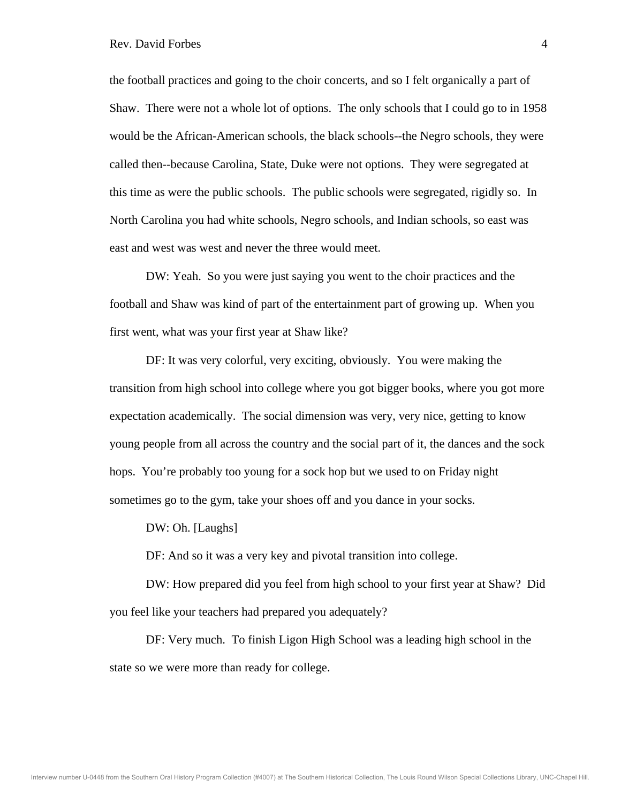the football practices and going to the choir concerts, and so I felt organically a part of Shaw. There were not a whole lot of options. The only schools that I could go to in 1958 would be the African-American schools, the black schools--the Negro schools, they were called then--because Carolina, State, Duke were not options. They were segregated at this time as were the public schools. The public schools were segregated, rigidly so. In North Carolina you had white schools, Negro schools, and Indian schools, so east was east and west was west and never the three would meet.

 DW: Yeah. So you were just saying you went to the choir practices and the football and Shaw was kind of part of the entertainment part of growing up. When you first went, what was your first year at Shaw like?

 DF: It was very colorful, very exciting, obviously. You were making the transition from high school into college where you got bigger books, where you got more expectation academically. The social dimension was very, very nice, getting to know young people from all across the country and the social part of it, the dances and the sock hops. You're probably too young for a sock hop but we used to on Friday night sometimes go to the gym, take your shoes off and you dance in your socks.

DW: Oh. [Laughs]

DF: And so it was a very key and pivotal transition into college.

 DW: How prepared did you feel from high school to your first year at Shaw? Did you feel like your teachers had prepared you adequately?

 DF: Very much. To finish Ligon High School was a leading high school in the state so we were more than ready for college.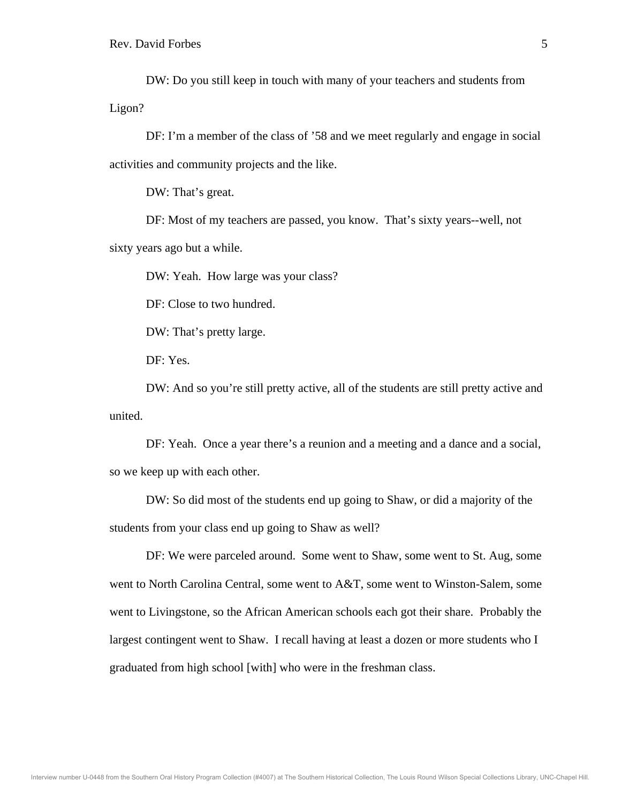DW: Do you still keep in touch with many of your teachers and students from Ligon?

 DF: I'm a member of the class of '58 and we meet regularly and engage in social activities and community projects and the like.

DW: That's great.

 DF: Most of my teachers are passed, you know. That's sixty years--well, not sixty years ago but a while.

DW: Yeah. How large was your class?

DF: Close to two hundred.

DW: That's pretty large.

DF: Yes.

 DW: And so you're still pretty active, all of the students are still pretty active and united.

 DF: Yeah. Once a year there's a reunion and a meeting and a dance and a social, so we keep up with each other.

 DW: So did most of the students end up going to Shaw, or did a majority of the students from your class end up going to Shaw as well?

 DF: We were parceled around. Some went to Shaw, some went to St. Aug, some went to North Carolina Central, some went to A&T, some went to Winston-Salem, some went to Livingstone, so the African American schools each got their share. Probably the largest contingent went to Shaw. I recall having at least a dozen or more students who I graduated from high school [with] who were in the freshman class.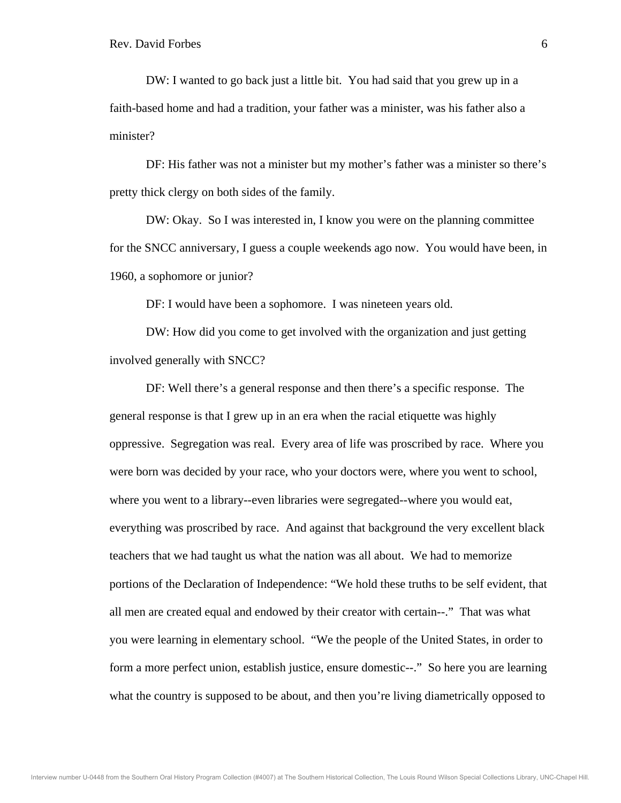DW: I wanted to go back just a little bit. You had said that you grew up in a faith-based home and had a tradition, your father was a minister, was his father also a minister?

 DF: His father was not a minister but my mother's father was a minister so there's pretty thick clergy on both sides of the family.

 DW: Okay. So I was interested in, I know you were on the planning committee for the SNCC anniversary, I guess a couple weekends ago now. You would have been, in 1960, a sophomore or junior?

DF: I would have been a sophomore. I was nineteen years old.

 DW: How did you come to get involved with the organization and just getting involved generally with SNCC?

 DF: Well there's a general response and then there's a specific response. The general response is that I grew up in an era when the racial etiquette was highly oppressive. Segregation was real. Every area of life was proscribed by race. Where you were born was decided by your race, who your doctors were, where you went to school, where you went to a library--even libraries were segregated--where you would eat, everything was proscribed by race. And against that background the very excellent black teachers that we had taught us what the nation was all about. We had to memorize portions of the Declaration of Independence: "We hold these truths to be self evident, that all men are created equal and endowed by their creator with certain--." That was what you were learning in elementary school. "We the people of the United States, in order to form a more perfect union, establish justice, ensure domestic--." So here you are learning what the country is supposed to be about, and then you're living diametrically opposed to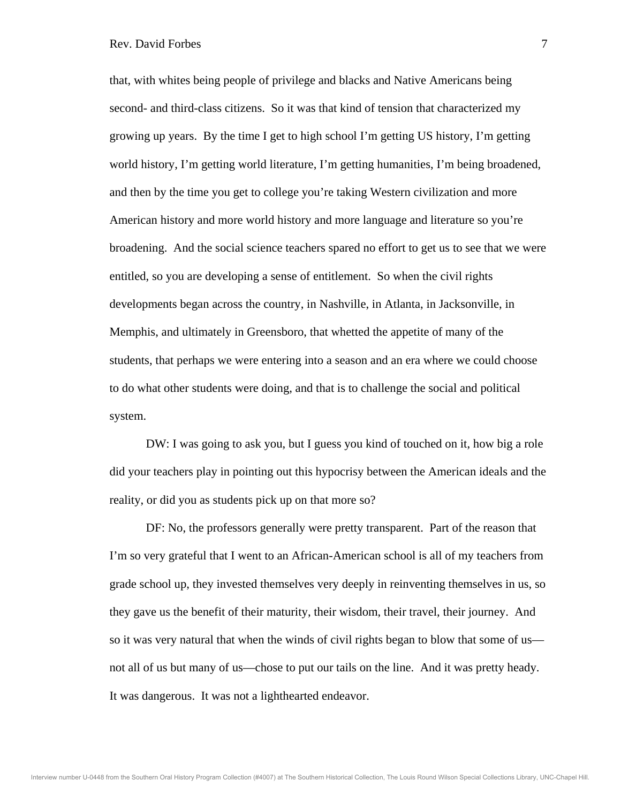that, with whites being people of privilege and blacks and Native Americans being second- and third-class citizens. So it was that kind of tension that characterized my growing up years. By the time I get to high school I'm getting US history, I'm getting world history, I'm getting world literature, I'm getting humanities, I'm being broadened, and then by the time you get to college you're taking Western civilization and more American history and more world history and more language and literature so you're broadening. And the social science teachers spared no effort to get us to see that we were entitled, so you are developing a sense of entitlement. So when the civil rights developments began across the country, in Nashville, in Atlanta, in Jacksonville, in Memphis, and ultimately in Greensboro, that whetted the appetite of many of the students, that perhaps we were entering into a season and an era where we could choose to do what other students were doing, and that is to challenge the social and political system.

 DW: I was going to ask you, but I guess you kind of touched on it, how big a role did your teachers play in pointing out this hypocrisy between the American ideals and the reality, or did you as students pick up on that more so?

 DF: No, the professors generally were pretty transparent. Part of the reason that I'm so very grateful that I went to an African-American school is all of my teachers from grade school up, they invested themselves very deeply in reinventing themselves in us, so they gave us the benefit of their maturity, their wisdom, their travel, their journey. And so it was very natural that when the winds of civil rights began to blow that some of us not all of us but many of us—chose to put our tails on the line. And it was pretty heady. It was dangerous. It was not a lighthearted endeavor.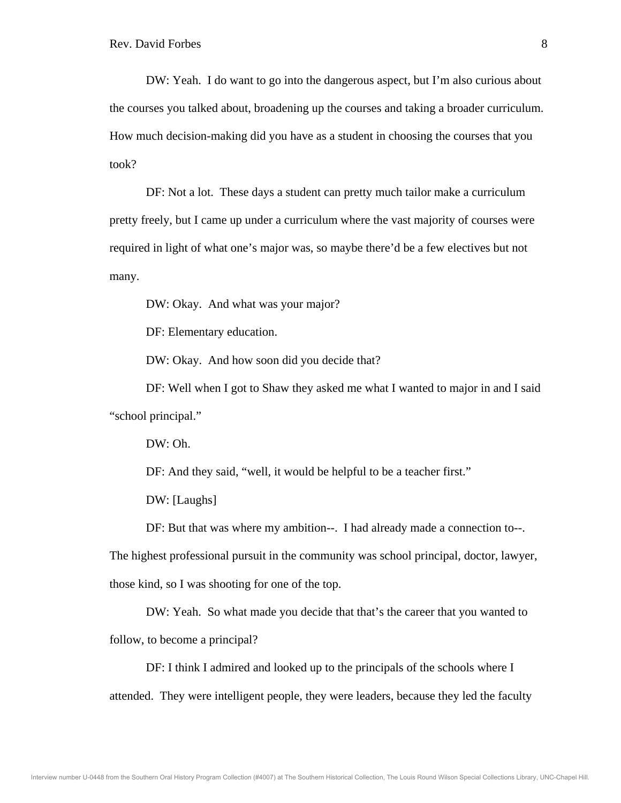DW: Yeah. I do want to go into the dangerous aspect, but I'm also curious about the courses you talked about, broadening up the courses and taking a broader curriculum. How much decision-making did you have as a student in choosing the courses that you took?

 DF: Not a lot. These days a student can pretty much tailor make a curriculum pretty freely, but I came up under a curriculum where the vast majority of courses were required in light of what one's major was, so maybe there'd be a few electives but not many.

DW: Okay. And what was your major?

DF: Elementary education.

DW: Okay. And how soon did you decide that?

 DF: Well when I got to Shaw they asked me what I wanted to major in and I said "school principal."

DW: Oh.

DF: And they said, "well, it would be helpful to be a teacher first."

DW: [Laughs]

DF: But that was where my ambition--. I had already made a connection to--.

The highest professional pursuit in the community was school principal, doctor, lawyer,

those kind, so I was shooting for one of the top.

DW: Yeah. So what made you decide that that's the career that you wanted to

follow, to become a principal?

 DF: I think I admired and looked up to the principals of the schools where I attended. They were intelligent people, they were leaders, because they led the faculty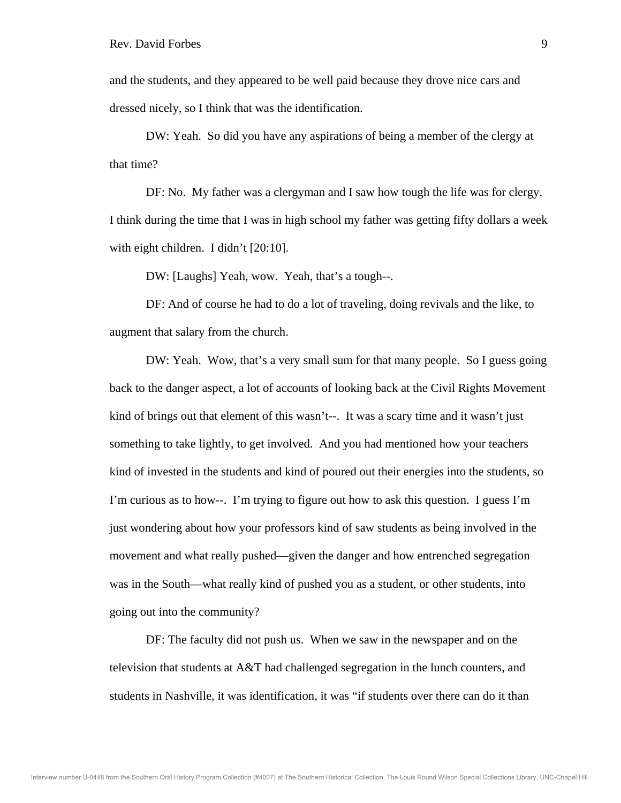and the students, and they appeared to be well paid because they drove nice cars and dressed nicely, so I think that was the identification.

 DW: Yeah. So did you have any aspirations of being a member of the clergy at that time?

 DF: No. My father was a clergyman and I saw how tough the life was for clergy. I think during the time that I was in high school my father was getting fifty dollars a week with eight children. I didn't [20:10].

DW: [Laughs] Yeah, wow. Yeah, that's a tough--.

 DF: And of course he had to do a lot of traveling, doing revivals and the like, to augment that salary from the church.

 DW: Yeah. Wow, that's a very small sum for that many people. So I guess going back to the danger aspect, a lot of accounts of looking back at the Civil Rights Movement kind of brings out that element of this wasn't--. It was a scary time and it wasn't just something to take lightly, to get involved. And you had mentioned how your teachers kind of invested in the students and kind of poured out their energies into the students, so I'm curious as to how--. I'm trying to figure out how to ask this question. I guess I'm just wondering about how your professors kind of saw students as being involved in the movement and what really pushed—given the danger and how entrenched segregation was in the South—what really kind of pushed you as a student, or other students, into going out into the community?

 DF: The faculty did not push us. When we saw in the newspaper and on the television that students at A&T had challenged segregation in the lunch counters, and students in Nashville, it was identification, it was "if students over there can do it than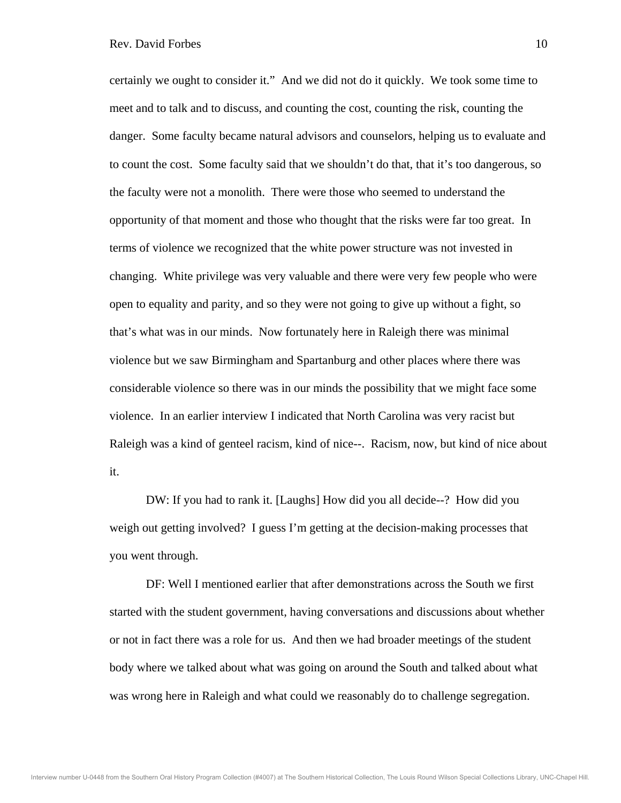certainly we ought to consider it." And we did not do it quickly. We took some time to meet and to talk and to discuss, and counting the cost, counting the risk, counting the danger. Some faculty became natural advisors and counselors, helping us to evaluate and to count the cost. Some faculty said that we shouldn't do that, that it's too dangerous, so the faculty were not a monolith. There were those who seemed to understand the opportunity of that moment and those who thought that the risks were far too great. In terms of violence we recognized that the white power structure was not invested in changing. White privilege was very valuable and there were very few people who were open to equality and parity, and so they were not going to give up without a fight, so that's what was in our minds. Now fortunately here in Raleigh there was minimal violence but we saw Birmingham and Spartanburg and other places where there was considerable violence so there was in our minds the possibility that we might face some violence. In an earlier interview I indicated that North Carolina was very racist but Raleigh was a kind of genteel racism, kind of nice--. Racism, now, but kind of nice about it.

 DW: If you had to rank it. [Laughs] How did you all decide--? How did you weigh out getting involved? I guess I'm getting at the decision-making processes that you went through.

 DF: Well I mentioned earlier that after demonstrations across the South we first started with the student government, having conversations and discussions about whether or not in fact there was a role for us. And then we had broader meetings of the student body where we talked about what was going on around the South and talked about what was wrong here in Raleigh and what could we reasonably do to challenge segregation.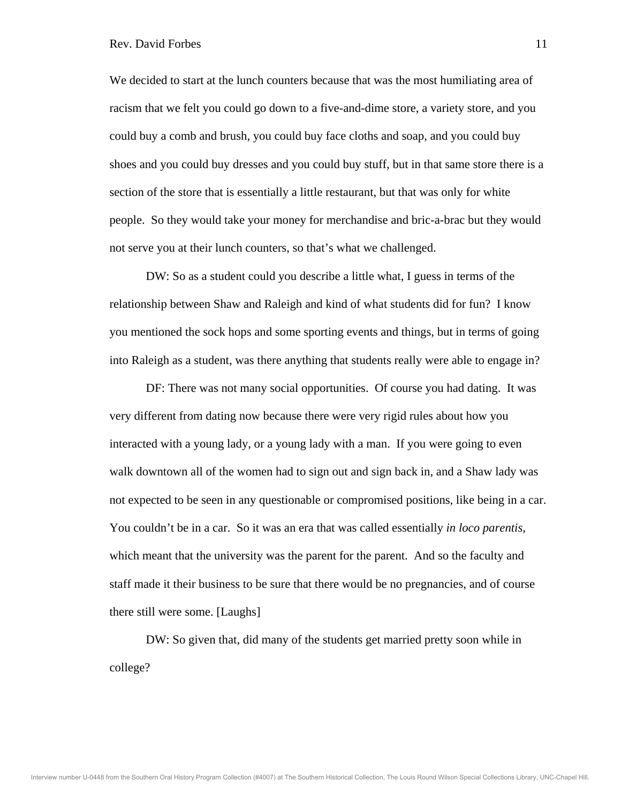## Rev. David Forbes 11

We decided to start at the lunch counters because that was the most humiliating area of racism that we felt you could go down to a five-and-dime store, a variety store, and you could buy a comb and brush, you could buy face cloths and soap, and you could buy shoes and you could buy dresses and you could buy stuff, but in that same store there is a section of the store that is essentially a little restaurant, but that was only for white people. So they would take your money for merchandise and bric-a-brac but they would not serve you at their lunch counters, so that's what we challenged.

 DW: So as a student could you describe a little what, I guess in terms of the relationship between Shaw and Raleigh and kind of what students did for fun? I know you mentioned the sock hops and some sporting events and things, but in terms of going into Raleigh as a student, was there anything that students really were able to engage in?

 DF: There was not many social opportunities. Of course you had dating. It was very different from dating now because there were very rigid rules about how you interacted with a young lady, or a young lady with a man. If you were going to even walk downtown all of the women had to sign out and sign back in, and a Shaw lady was not expected to be seen in any questionable or compromised positions, like being in a car. You couldn't be in a car. So it was an era that was called essentially *in loco parentis*, which meant that the university was the parent for the parent. And so the faculty and staff made it their business to be sure that there would be no pregnancies, and of course there still were some. [Laughs]

 DW: So given that, did many of the students get married pretty soon while in college?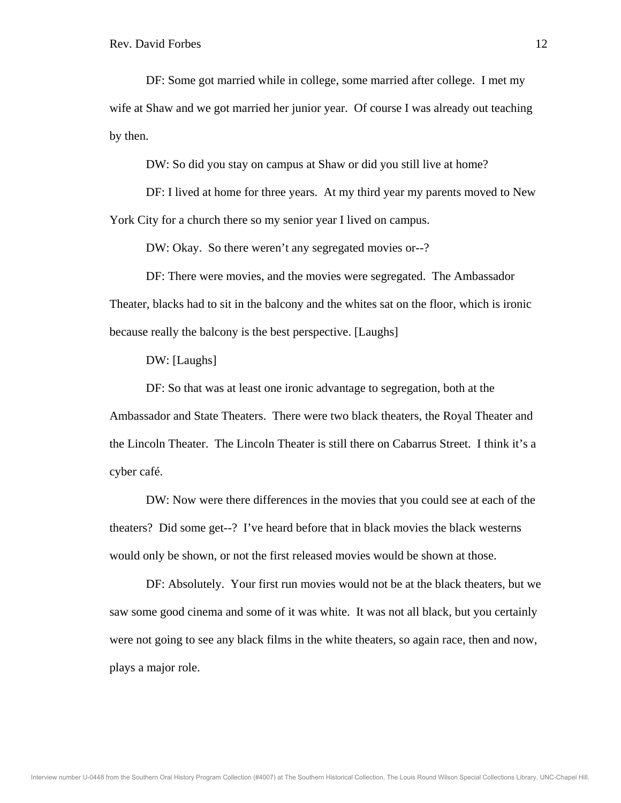DF: Some got married while in college, some married after college. I met my wife at Shaw and we got married her junior year. Of course I was already out teaching by then.

DW: So did you stay on campus at Shaw or did you still live at home?

 DF: I lived at home for three years. At my third year my parents moved to New York City for a church there so my senior year I lived on campus.

DW: Okay. So there weren't any segregated movies or--?

 DF: There were movies, and the movies were segregated. The Ambassador Theater, blacks had to sit in the balcony and the whites sat on the floor, which is ironic because really the balcony is the best perspective. [Laughs]

DW: [Laughs]

 DF: So that was at least one ironic advantage to segregation, both at the Ambassador and State Theaters. There were two black theaters, the Royal Theater and the Lincoln Theater. The Lincoln Theater is still there on Cabarrus Street. I think it's a cyber café.

 DW: Now were there differences in the movies that you could see at each of the theaters? Did some get--? I've heard before that in black movies the black westerns would only be shown, or not the first released movies would be shown at those.

 DF: Absolutely. Your first run movies would not be at the black theaters, but we saw some good cinema and some of it was white. It was not all black, but you certainly were not going to see any black films in the white theaters, so again race, then and now, plays a major role.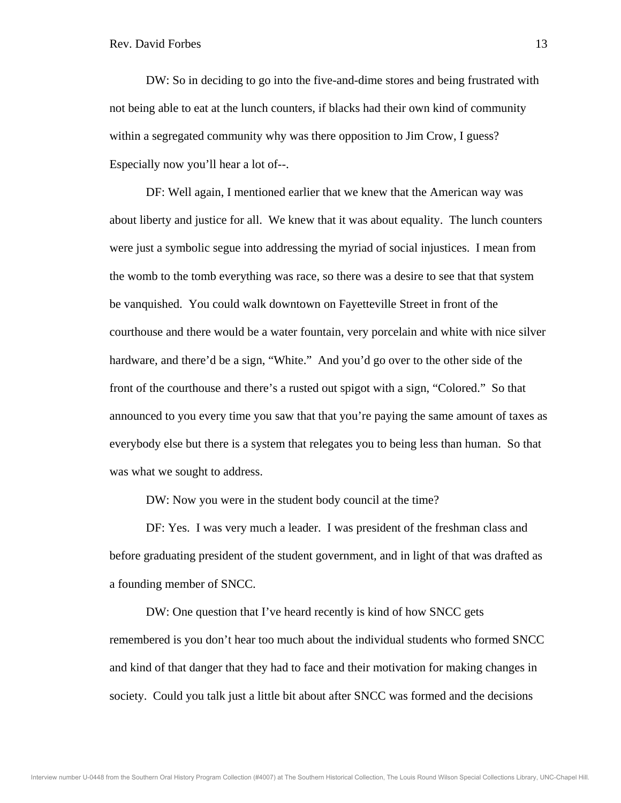DW: So in deciding to go into the five-and-dime stores and being frustrated with not being able to eat at the lunch counters, if blacks had their own kind of community within a segregated community why was there opposition to Jim Crow, I guess? Especially now you'll hear a lot of--.

 DF: Well again, I mentioned earlier that we knew that the American way was about liberty and justice for all. We knew that it was about equality. The lunch counters were just a symbolic segue into addressing the myriad of social injustices. I mean from the womb to the tomb everything was race, so there was a desire to see that that system be vanquished. You could walk downtown on Fayetteville Street in front of the courthouse and there would be a water fountain, very porcelain and white with nice silver hardware, and there'd be a sign, "White." And you'd go over to the other side of the front of the courthouse and there's a rusted out spigot with a sign, "Colored." So that announced to you every time you saw that that you're paying the same amount of taxes as everybody else but there is a system that relegates you to being less than human. So that was what we sought to address.

DW: Now you were in the student body council at the time?

 DF: Yes. I was very much a leader. I was president of the freshman class and before graduating president of the student government, and in light of that was drafted as a founding member of SNCC.

 DW: One question that I've heard recently is kind of how SNCC gets remembered is you don't hear too much about the individual students who formed SNCC and kind of that danger that they had to face and their motivation for making changes in society. Could you talk just a little bit about after SNCC was formed and the decisions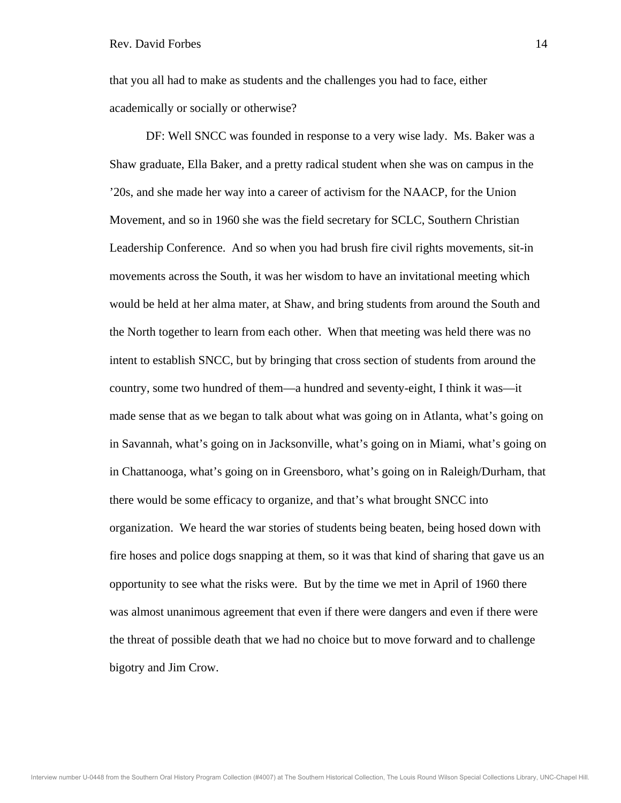that you all had to make as students and the challenges you had to face, either academically or socially or otherwise?

 DF: Well SNCC was founded in response to a very wise lady. Ms. Baker was a Shaw graduate, Ella Baker, and a pretty radical student when she was on campus in the '20s, and she made her way into a career of activism for the NAACP, for the Union Movement, and so in 1960 she was the field secretary for SCLC, Southern Christian Leadership Conference. And so when you had brush fire civil rights movements, sit-in movements across the South, it was her wisdom to have an invitational meeting which would be held at her alma mater, at Shaw, and bring students from around the South and the North together to learn from each other. When that meeting was held there was no intent to establish SNCC, but by bringing that cross section of students from around the country, some two hundred of them—a hundred and seventy-eight, I think it was—it made sense that as we began to talk about what was going on in Atlanta, what's going on in Savannah, what's going on in Jacksonville, what's going on in Miami, what's going on in Chattanooga, what's going on in Greensboro, what's going on in Raleigh/Durham, that there would be some efficacy to organize, and that's what brought SNCC into organization. We heard the war stories of students being beaten, being hosed down with fire hoses and police dogs snapping at them, so it was that kind of sharing that gave us an opportunity to see what the risks were. But by the time we met in April of 1960 there was almost unanimous agreement that even if there were dangers and even if there were the threat of possible death that we had no choice but to move forward and to challenge bigotry and Jim Crow.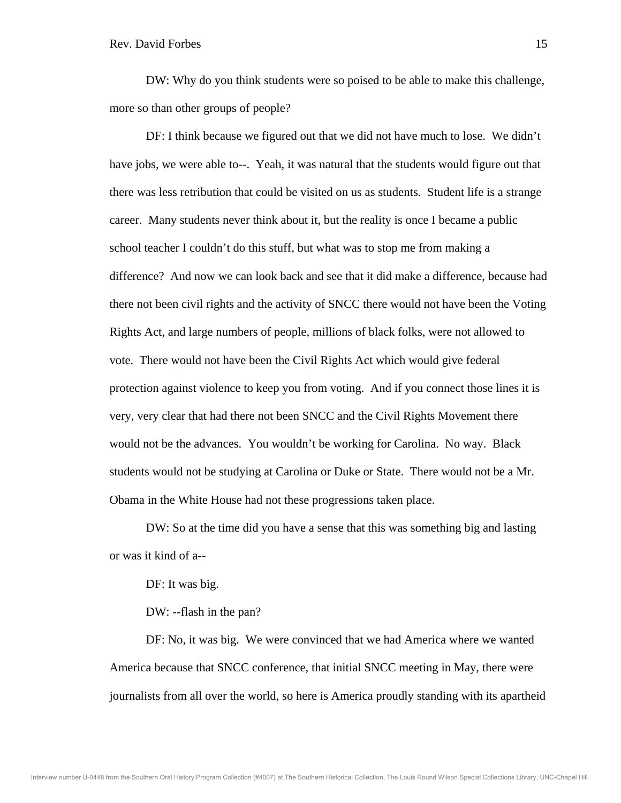DW: Why do you think students were so poised to be able to make this challenge, more so than other groups of people?

 DF: I think because we figured out that we did not have much to lose. We didn't have jobs, we were able to--. Yeah, it was natural that the students would figure out that there was less retribution that could be visited on us as students. Student life is a strange career. Many students never think about it, but the reality is once I became a public school teacher I couldn't do this stuff, but what was to stop me from making a difference? And now we can look back and see that it did make a difference, because had there not been civil rights and the activity of SNCC there would not have been the Voting Rights Act, and large numbers of people, millions of black folks, were not allowed to vote. There would not have been the Civil Rights Act which would give federal protection against violence to keep you from voting. And if you connect those lines it is very, very clear that had there not been SNCC and the Civil Rights Movement there would not be the advances. You wouldn't be working for Carolina. No way. Black students would not be studying at Carolina or Duke or State. There would not be a Mr. Obama in the White House had not these progressions taken place.

 DW: So at the time did you have a sense that this was something big and lasting or was it kind of a--

DF: It was big.

DW: --flash in the pan?

 DF: No, it was big. We were convinced that we had America where we wanted America because that SNCC conference, that initial SNCC meeting in May, there were journalists from all over the world, so here is America proudly standing with its apartheid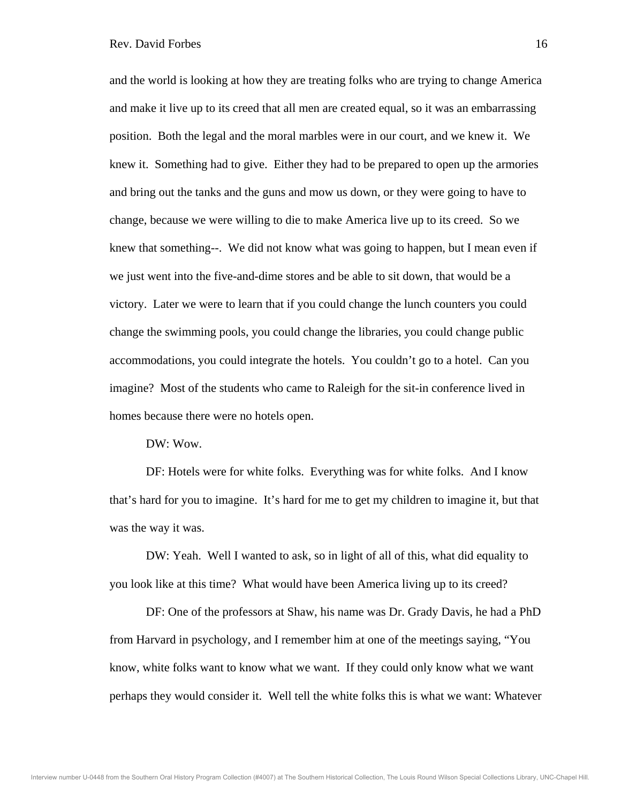and the world is looking at how they are treating folks who are trying to change America and make it live up to its creed that all men are created equal, so it was an embarrassing position. Both the legal and the moral marbles were in our court, and we knew it. We knew it. Something had to give. Either they had to be prepared to open up the armories and bring out the tanks and the guns and mow us down, or they were going to have to change, because we were willing to die to make America live up to its creed. So we knew that something--. We did not know what was going to happen, but I mean even if we just went into the five-and-dime stores and be able to sit down, that would be a victory. Later we were to learn that if you could change the lunch counters you could change the swimming pools, you could change the libraries, you could change public accommodations, you could integrate the hotels. You couldn't go to a hotel. Can you imagine? Most of the students who came to Raleigh for the sit-in conference lived in homes because there were no hotels open.

DW: Wow.

 DF: Hotels were for white folks. Everything was for white folks. And I know that's hard for you to imagine. It's hard for me to get my children to imagine it, but that was the way it was.

 DW: Yeah. Well I wanted to ask, so in light of all of this, what did equality to you look like at this time? What would have been America living up to its creed?

 DF: One of the professors at Shaw, his name was Dr. Grady Davis, he had a PhD from Harvard in psychology, and I remember him at one of the meetings saying, "You know, white folks want to know what we want. If they could only know what we want perhaps they would consider it. Well tell the white folks this is what we want: Whatever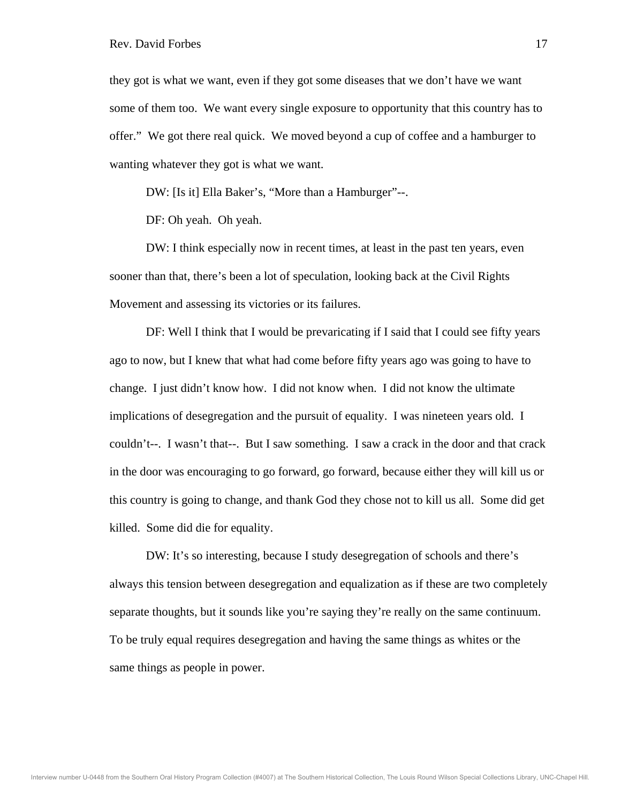they got is what we want, even if they got some diseases that we don't have we want some of them too. We want every single exposure to opportunity that this country has to offer." We got there real quick. We moved beyond a cup of coffee and a hamburger to wanting whatever they got is what we want.

DW: [Is it] Ella Baker's, "More than a Hamburger"--.

DF: Oh yeah. Oh yeah.

 DW: I think especially now in recent times, at least in the past ten years, even sooner than that, there's been a lot of speculation, looking back at the Civil Rights Movement and assessing its victories or its failures.

 DF: Well I think that I would be prevaricating if I said that I could see fifty years ago to now, but I knew that what had come before fifty years ago was going to have to change. I just didn't know how. I did not know when. I did not know the ultimate implications of desegregation and the pursuit of equality. I was nineteen years old. I couldn't--. I wasn't that--. But I saw something. I saw a crack in the door and that crack in the door was encouraging to go forward, go forward, because either they will kill us or this country is going to change, and thank God they chose not to kill us all. Some did get killed. Some did die for equality.

 DW: It's so interesting, because I study desegregation of schools and there's always this tension between desegregation and equalization as if these are two completely separate thoughts, but it sounds like you're saying they're really on the same continuum. To be truly equal requires desegregation and having the same things as whites or the same things as people in power.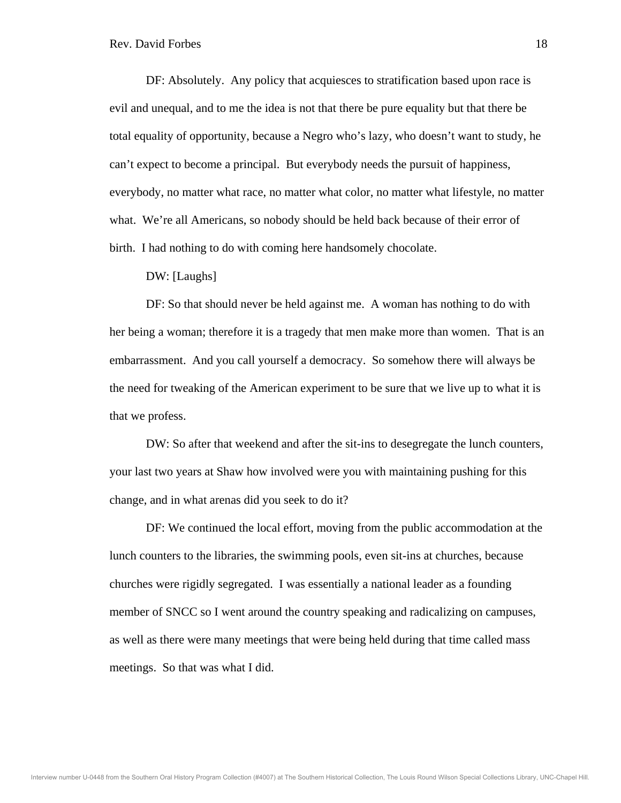DF: Absolutely. Any policy that acquiesces to stratification based upon race is evil and unequal, and to me the idea is not that there be pure equality but that there be total equality of opportunity, because a Negro who's lazy, who doesn't want to study, he can't expect to become a principal. But everybody needs the pursuit of happiness, everybody, no matter what race, no matter what color, no matter what lifestyle, no matter what. We're all Americans, so nobody should be held back because of their error of birth. I had nothing to do with coming here handsomely chocolate.

DW: [Laughs]

 DF: So that should never be held against me. A woman has nothing to do with her being a woman; therefore it is a tragedy that men make more than women. That is an embarrassment. And you call yourself a democracy. So somehow there will always be the need for tweaking of the American experiment to be sure that we live up to what it is that we profess.

 DW: So after that weekend and after the sit-ins to desegregate the lunch counters, your last two years at Shaw how involved were you with maintaining pushing for this change, and in what arenas did you seek to do it?

 DF: We continued the local effort, moving from the public accommodation at the lunch counters to the libraries, the swimming pools, even sit-ins at churches, because churches were rigidly segregated. I was essentially a national leader as a founding member of SNCC so I went around the country speaking and radicalizing on campuses, as well as there were many meetings that were being held during that time called mass meetings. So that was what I did.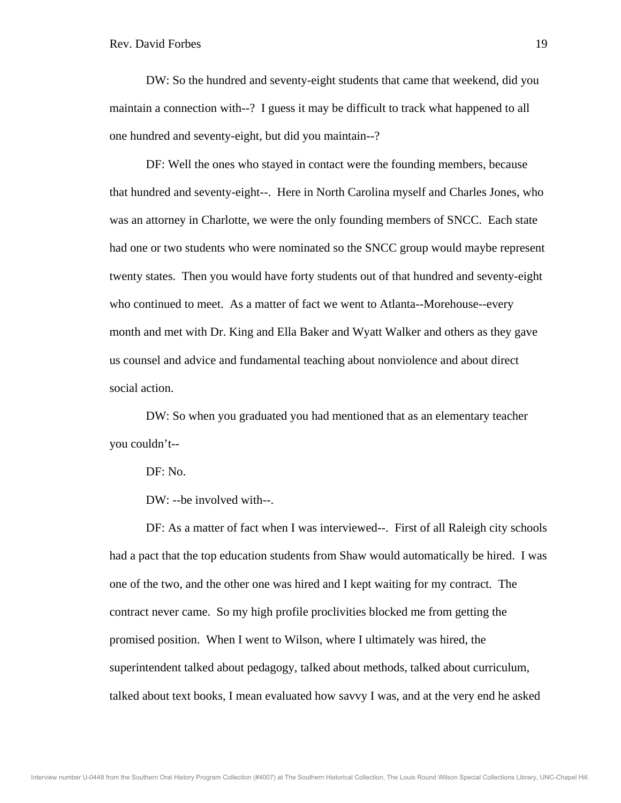DW: So the hundred and seventy-eight students that came that weekend, did you maintain a connection with--? I guess it may be difficult to track what happened to all one hundred and seventy-eight, but did you maintain--?

 DF: Well the ones who stayed in contact were the founding members, because that hundred and seventy-eight--. Here in North Carolina myself and Charles Jones, who was an attorney in Charlotte, we were the only founding members of SNCC. Each state had one or two students who were nominated so the SNCC group would maybe represent twenty states. Then you would have forty students out of that hundred and seventy-eight who continued to meet. As a matter of fact we went to Atlanta--Morehouse--every month and met with Dr. King and Ella Baker and Wyatt Walker and others as they gave us counsel and advice and fundamental teaching about nonviolence and about direct social action.

 DW: So when you graduated you had mentioned that as an elementary teacher you couldn't--

DF: No.

DW: --be involved with--.

 DF: As a matter of fact when I was interviewed--. First of all Raleigh city schools had a pact that the top education students from Shaw would automatically be hired. I was one of the two, and the other one was hired and I kept waiting for my contract. The contract never came. So my high profile proclivities blocked me from getting the promised position. When I went to Wilson, where I ultimately was hired, the superintendent talked about pedagogy, talked about methods, talked about curriculum, talked about text books, I mean evaluated how savvy I was, and at the very end he asked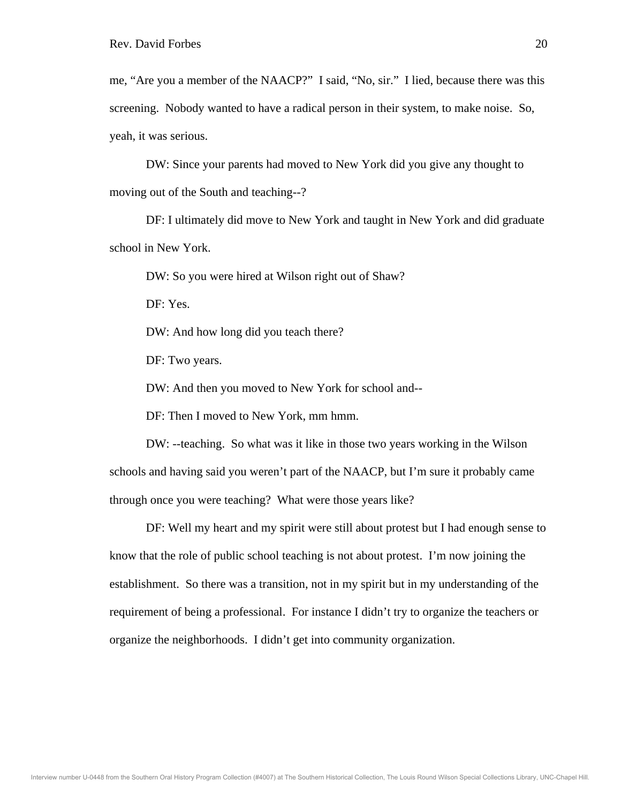me, "Are you a member of the NAACP?" I said, "No, sir." I lied, because there was this screening. Nobody wanted to have a radical person in their system, to make noise. So, yeah, it was serious.

 DW: Since your parents had moved to New York did you give any thought to moving out of the South and teaching--?

 DF: I ultimately did move to New York and taught in New York and did graduate school in New York.

DW: So you were hired at Wilson right out of Shaw?

DF: Yes.

DW: And how long did you teach there?

DF: Two years.

DW: And then you moved to New York for school and--

DF: Then I moved to New York, mm hmm.

 DW: --teaching. So what was it like in those two years working in the Wilson schools and having said you weren't part of the NAACP, but I'm sure it probably came through once you were teaching? What were those years like?

 DF: Well my heart and my spirit were still about protest but I had enough sense to know that the role of public school teaching is not about protest. I'm now joining the establishment. So there was a transition, not in my spirit but in my understanding of the requirement of being a professional. For instance I didn't try to organize the teachers or organize the neighborhoods. I didn't get into community organization.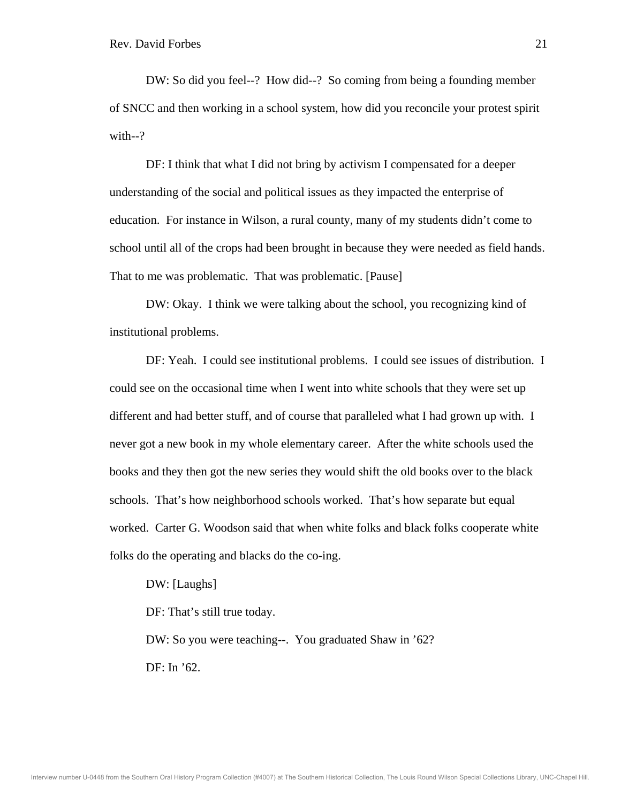DW: So did you feel--? How did--? So coming from being a founding member of SNCC and then working in a school system, how did you reconcile your protest spirit with--?

 DF: I think that what I did not bring by activism I compensated for a deeper understanding of the social and political issues as they impacted the enterprise of education. For instance in Wilson, a rural county, many of my students didn't come to school until all of the crops had been brought in because they were needed as field hands. That to me was problematic. That was problematic. [Pause]

 DW: Okay. I think we were talking about the school, you recognizing kind of institutional problems.

 DF: Yeah. I could see institutional problems. I could see issues of distribution. I could see on the occasional time when I went into white schools that they were set up different and had better stuff, and of course that paralleled what I had grown up with. I never got a new book in my whole elementary career. After the white schools used the books and they then got the new series they would shift the old books over to the black schools. That's how neighborhood schools worked. That's how separate but equal worked. Carter G. Woodson said that when white folks and black folks cooperate white folks do the operating and blacks do the co-ing.

 DW: [Laughs] DF: That's still true today.

 DW: So you were teaching--. You graduated Shaw in '62? DF: In '62.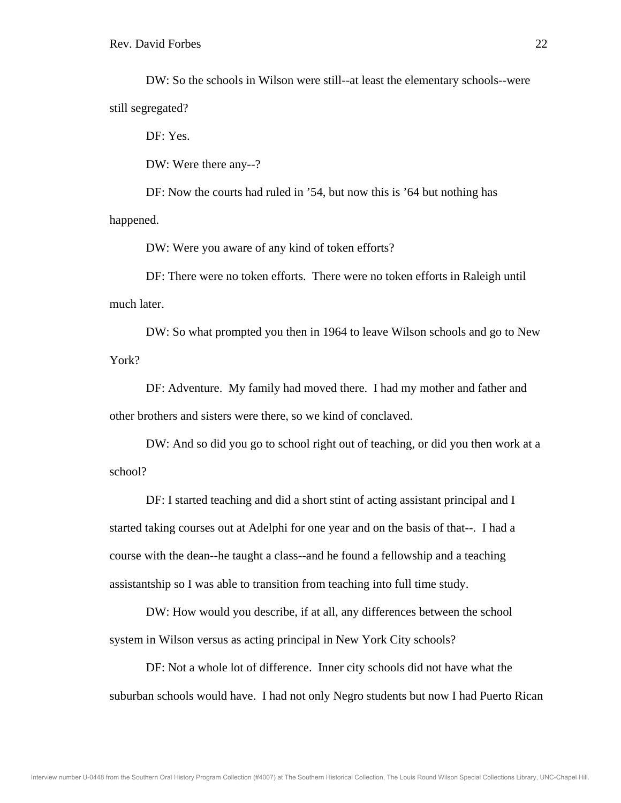DW: So the schools in Wilson were still--at least the elementary schools--were still segregated?

DF: Yes.

DW: Were there any--?

 DF: Now the courts had ruled in '54, but now this is '64 but nothing has happened.

DW: Were you aware of any kind of token efforts?

 DF: There were no token efforts. There were no token efforts in Raleigh until much later.

 DW: So what prompted you then in 1964 to leave Wilson schools and go to New York?

 DF: Adventure. My family had moved there. I had my mother and father and other brothers and sisters were there, so we kind of conclaved.

 DW: And so did you go to school right out of teaching, or did you then work at a school?

 DF: I started teaching and did a short stint of acting assistant principal and I started taking courses out at Adelphi for one year and on the basis of that--. I had a course with the dean--he taught a class--and he found a fellowship and a teaching assistantship so I was able to transition from teaching into full time study.

 DW: How would you describe, if at all, any differences between the school system in Wilson versus as acting principal in New York City schools?

 DF: Not a whole lot of difference. Inner city schools did not have what the suburban schools would have. I had not only Negro students but now I had Puerto Rican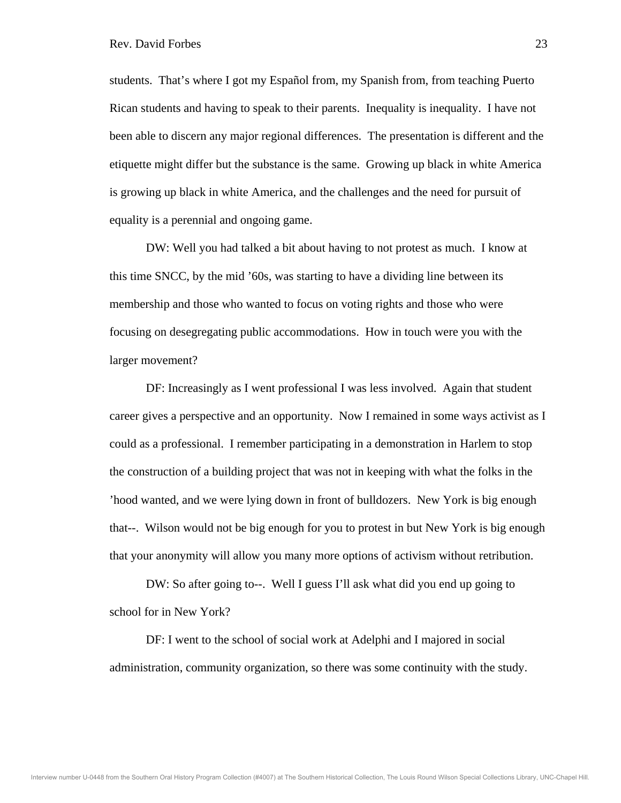students. That's where I got my Español from, my Spanish from, from teaching Puerto Rican students and having to speak to their parents. Inequality is inequality. I have not been able to discern any major regional differences. The presentation is different and the etiquette might differ but the substance is the same. Growing up black in white America is growing up black in white America, and the challenges and the need for pursuit of equality is a perennial and ongoing game.

 DW: Well you had talked a bit about having to not protest as much. I know at this time SNCC, by the mid '60s, was starting to have a dividing line between its membership and those who wanted to focus on voting rights and those who were focusing on desegregating public accommodations. How in touch were you with the larger movement?

 DF: Increasingly as I went professional I was less involved. Again that student career gives a perspective and an opportunity. Now I remained in some ways activist as I could as a professional. I remember participating in a demonstration in Harlem to stop the construction of a building project that was not in keeping with what the folks in the 'hood wanted, and we were lying down in front of bulldozers. New York is big enough that--. Wilson would not be big enough for you to protest in but New York is big enough that your anonymity will allow you many more options of activism without retribution.

 DW: So after going to--. Well I guess I'll ask what did you end up going to school for in New York?

 DF: I went to the school of social work at Adelphi and I majored in social administration, community organization, so there was some continuity with the study.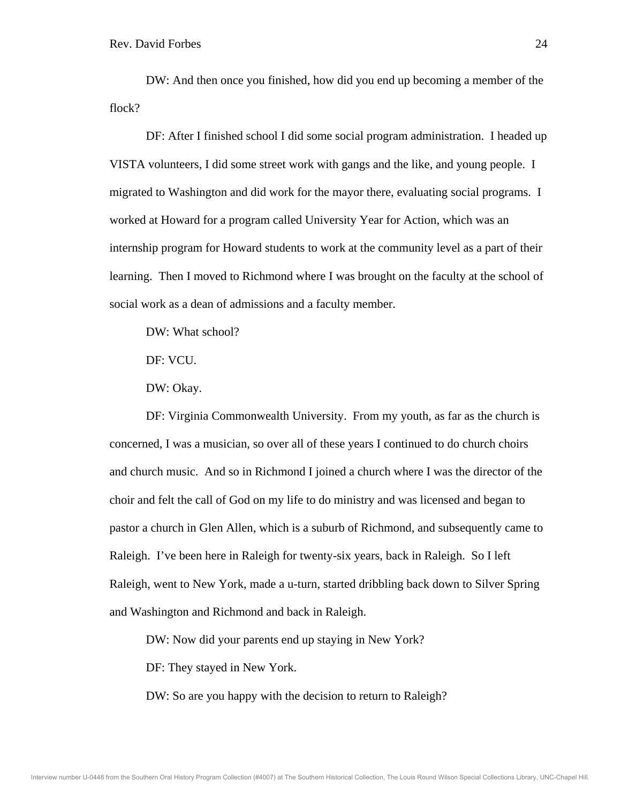DW: And then once you finished, how did you end up becoming a member of the flock?

 DF: After I finished school I did some social program administration. I headed up VISTA volunteers, I did some street work with gangs and the like, and young people. I migrated to Washington and did work for the mayor there, evaluating social programs. I worked at Howard for a program called University Year for Action, which was an internship program for Howard students to work at the community level as a part of their learning. Then I moved to Richmond where I was brought on the faculty at the school of social work as a dean of admissions and a faculty member.

DW: What school?

DF: VCU.

DW: Okay.

 DF: Virginia Commonwealth University. From my youth, as far as the church is concerned, I was a musician, so over all of these years I continued to do church choirs and church music. And so in Richmond I joined a church where I was the director of the choir and felt the call of God on my life to do ministry and was licensed and began to pastor a church in Glen Allen, which is a suburb of Richmond, and subsequently came to Raleigh. I've been here in Raleigh for twenty-six years, back in Raleigh. So I left Raleigh, went to New York, made a u-turn, started dribbling back down to Silver Spring and Washington and Richmond and back in Raleigh.

DW: Now did your parents end up staying in New York?

DF: They stayed in New York.

DW: So are you happy with the decision to return to Raleigh?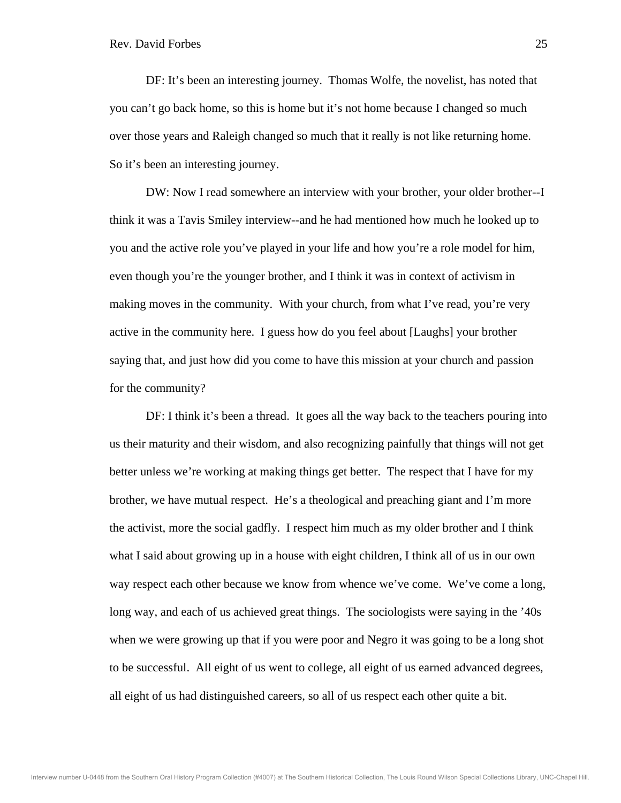DF: It's been an interesting journey. Thomas Wolfe, the novelist, has noted that you can't go back home, so this is home but it's not home because I changed so much over those years and Raleigh changed so much that it really is not like returning home. So it's been an interesting journey.

 DW: Now I read somewhere an interview with your brother, your older brother--I think it was a Tavis Smiley interview--and he had mentioned how much he looked up to you and the active role you've played in your life and how you're a role model for him, even though you're the younger brother, and I think it was in context of activism in making moves in the community. With your church, from what I've read, you're very active in the community here. I guess how do you feel about [Laughs] your brother saying that, and just how did you come to have this mission at your church and passion for the community?

DF: I think it's been a thread. It goes all the way back to the teachers pouring into us their maturity and their wisdom, and also recognizing painfully that things will not get better unless we're working at making things get better. The respect that I have for my brother, we have mutual respect. He's a theological and preaching giant and I'm more the activist, more the social gadfly. I respect him much as my older brother and I think what I said about growing up in a house with eight children, I think all of us in our own way respect each other because we know from whence we've come. We've come a long, long way, and each of us achieved great things. The sociologists were saying in the '40s when we were growing up that if you were poor and Negro it was going to be a long shot to be successful. All eight of us went to college, all eight of us earned advanced degrees, all eight of us had distinguished careers, so all of us respect each other quite a bit.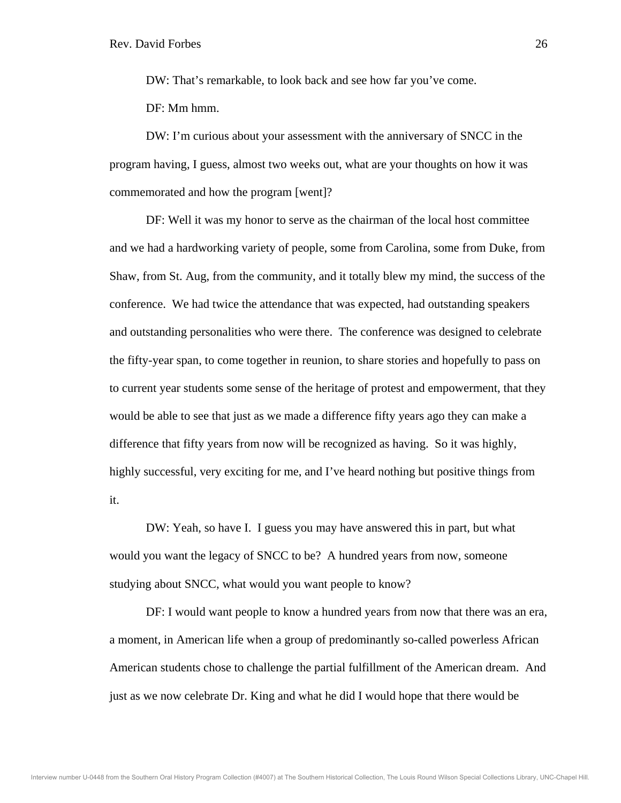DW: That's remarkable, to look back and see how far you've come.

DF: Mm hmm.

 DW: I'm curious about your assessment with the anniversary of SNCC in the program having, I guess, almost two weeks out, what are your thoughts on how it was commemorated and how the program [went]?

 DF: Well it was my honor to serve as the chairman of the local host committee and we had a hardworking variety of people, some from Carolina, some from Duke, from Shaw, from St. Aug, from the community, and it totally blew my mind, the success of the conference. We had twice the attendance that was expected, had outstanding speakers and outstanding personalities who were there. The conference was designed to celebrate the fifty-year span, to come together in reunion, to share stories and hopefully to pass on to current year students some sense of the heritage of protest and empowerment, that they would be able to see that just as we made a difference fifty years ago they can make a difference that fifty years from now will be recognized as having. So it was highly, highly successful, very exciting for me, and I've heard nothing but positive things from it.

 DW: Yeah, so have I. I guess you may have answered this in part, but what would you want the legacy of SNCC to be? A hundred years from now, someone studying about SNCC, what would you want people to know?

 DF: I would want people to know a hundred years from now that there was an era, a moment, in American life when a group of predominantly so-called powerless African American students chose to challenge the partial fulfillment of the American dream. And just as we now celebrate Dr. King and what he did I would hope that there would be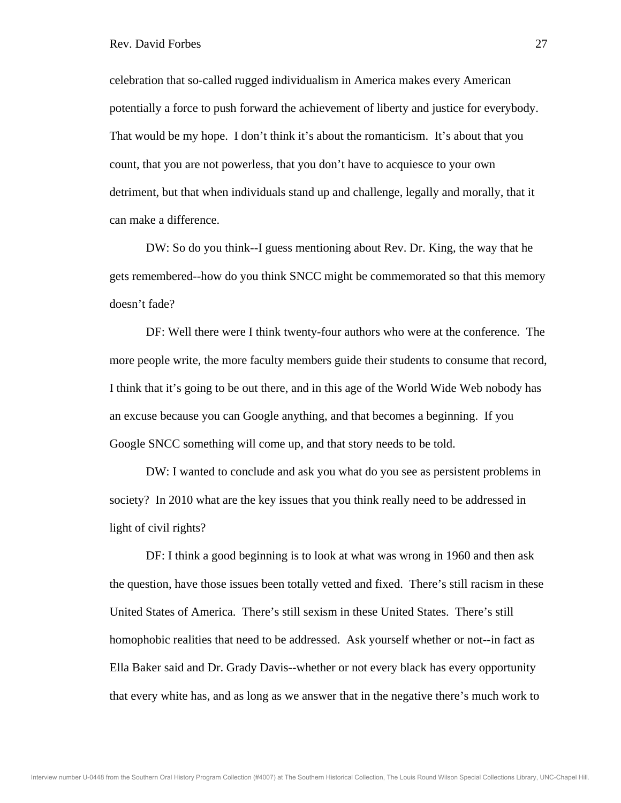celebration that so-called rugged individualism in America makes every American potentially a force to push forward the achievement of liberty and justice for everybody. That would be my hope. I don't think it's about the romanticism. It's about that you count, that you are not powerless, that you don't have to acquiesce to your own detriment, but that when individuals stand up and challenge, legally and morally, that it can make a difference.

 DW: So do you think--I guess mentioning about Rev. Dr. King, the way that he gets remembered--how do you think SNCC might be commemorated so that this memory doesn't fade?

 DF: Well there were I think twenty-four authors who were at the conference. The more people write, the more faculty members guide their students to consume that record, I think that it's going to be out there, and in this age of the World Wide Web nobody has an excuse because you can Google anything, and that becomes a beginning. If you Google SNCC something will come up, and that story needs to be told.

 DW: I wanted to conclude and ask you what do you see as persistent problems in society? In 2010 what are the key issues that you think really need to be addressed in light of civil rights?

 DF: I think a good beginning is to look at what was wrong in 1960 and then ask the question, have those issues been totally vetted and fixed. There's still racism in these United States of America. There's still sexism in these United States. There's still homophobic realities that need to be addressed. Ask yourself whether or not--in fact as Ella Baker said and Dr. Grady Davis--whether or not every black has every opportunity that every white has, and as long as we answer that in the negative there's much work to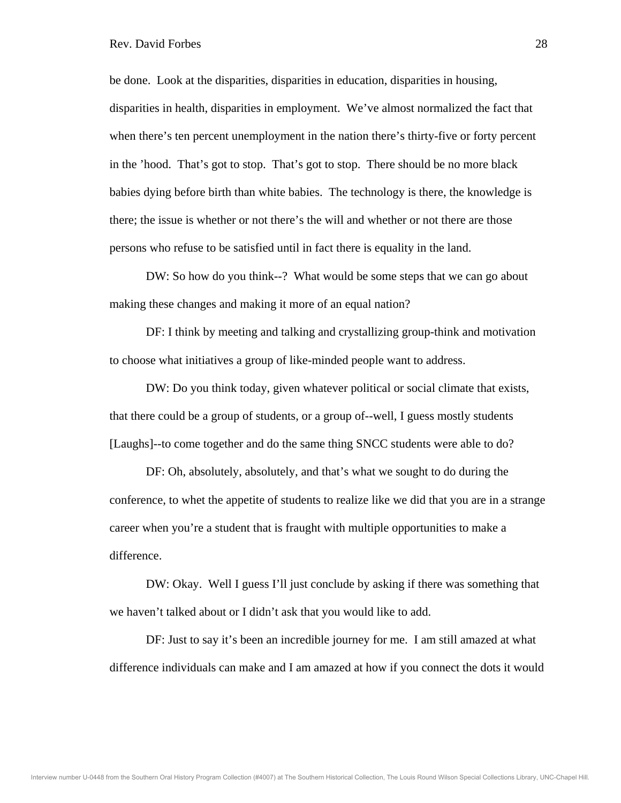be done. Look at the disparities, disparities in education, disparities in housing, disparities in health, disparities in employment. We've almost normalized the fact that when there's ten percent unemployment in the nation there's thirty-five or forty percent in the 'hood. That's got to stop. That's got to stop. There should be no more black babies dying before birth than white babies. The technology is there, the knowledge is there; the issue is whether or not there's the will and whether or not there are those persons who refuse to be satisfied until in fact there is equality in the land.

 DW: So how do you think--? What would be some steps that we can go about making these changes and making it more of an equal nation?

 DF: I think by meeting and talking and crystallizing group-think and motivation to choose what initiatives a group of like-minded people want to address.

 DW: Do you think today, given whatever political or social climate that exists, that there could be a group of students, or a group of--well, I guess mostly students [Laughs]--to come together and do the same thing SNCC students were able to do?

 DF: Oh, absolutely, absolutely, and that's what we sought to do during the conference, to whet the appetite of students to realize like we did that you are in a strange career when you're a student that is fraught with multiple opportunities to make a difference.

 DW: Okay. Well I guess I'll just conclude by asking if there was something that we haven't talked about or I didn't ask that you would like to add.

 DF: Just to say it's been an incredible journey for me. I am still amazed at what difference individuals can make and I am amazed at how if you connect the dots it would